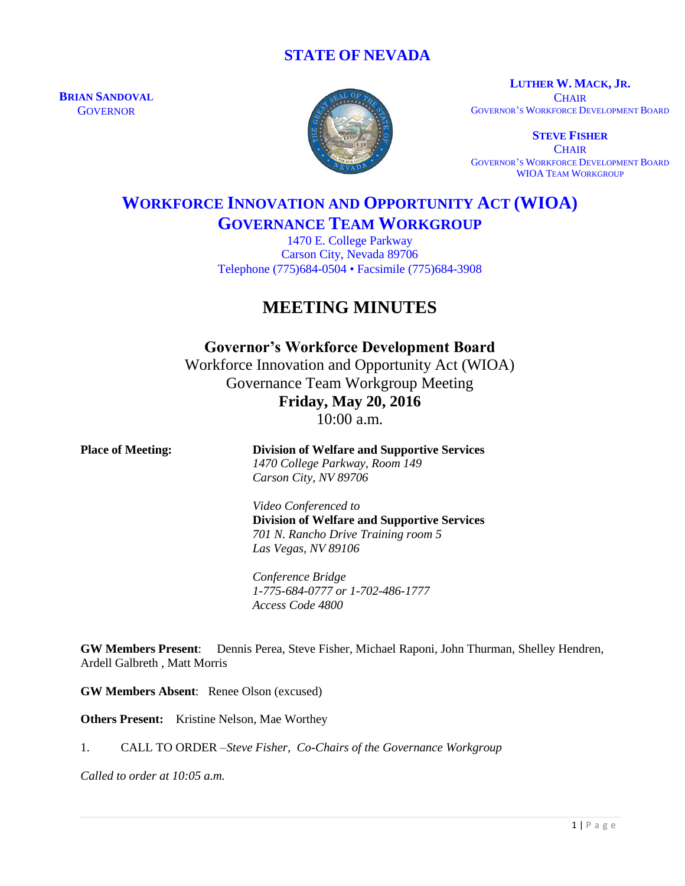### **STATE OF NEVADA**

**BRIAN SANDOVAL GOVERNOR** 



**LUTHER W. MACK, JR. CHAIR** GOVERNOR'S WORKFORCE DEVELOPMENT BOARD

**STEVE FISHER CHAIR** GOVERNOR'S WORKFORCE DEVELOPMENT BOARD WIOA TEAM WORKGROUP

# **WORKFORCE INNOVATION AND OPPORTUNITY ACT (WIOA) GOVERNANCE TEAM WORKGROUP**

1470 E. College Parkway Carson City, Nevada 89706 Telephone (775)684-0504 • Facsimile (775)684-3908

## **MEETING MINUTES**

**Governor's Workforce Development Board** Workforce Innovation and Opportunity Act (WIOA) Governance Team Workgroup Meeting **Friday, May 20, 2016** 10:00 a.m.

| <b>Place of Meeting:</b> | <b>Division of Welfare and Supportive Services</b><br>1470 College Parkway, Room 149 |
|--------------------------|--------------------------------------------------------------------------------------|
|                          | Carson City, NV 89706                                                                |
|                          | Video Conferenced to                                                                 |
|                          | <b>Division of Welfare and Supportive Services</b>                                   |
|                          | 701 N. Rancho Drive Training room 5                                                  |
|                          | Las Vegas, NV 89106                                                                  |
|                          | Conference Bridge                                                                    |
|                          | 1-775-684-0777 or 1-702-486-1777                                                     |
|                          | Access Code 4800                                                                     |
|                          |                                                                                      |

**GW Members Present**: Dennis Perea, Steve Fisher, Michael Raponi, John Thurman, Shelley Hendren, Ardell Galbreth , Matt Morris

**GW Members Absent**: Renee Olson (excused)

**Others Present:** Kristine Nelson, Mae Worthey

1. CALL TO ORDER –*Steve Fisher, Co-Chairs of the Governance Workgroup*

*Called to order at 10:05 a.m.*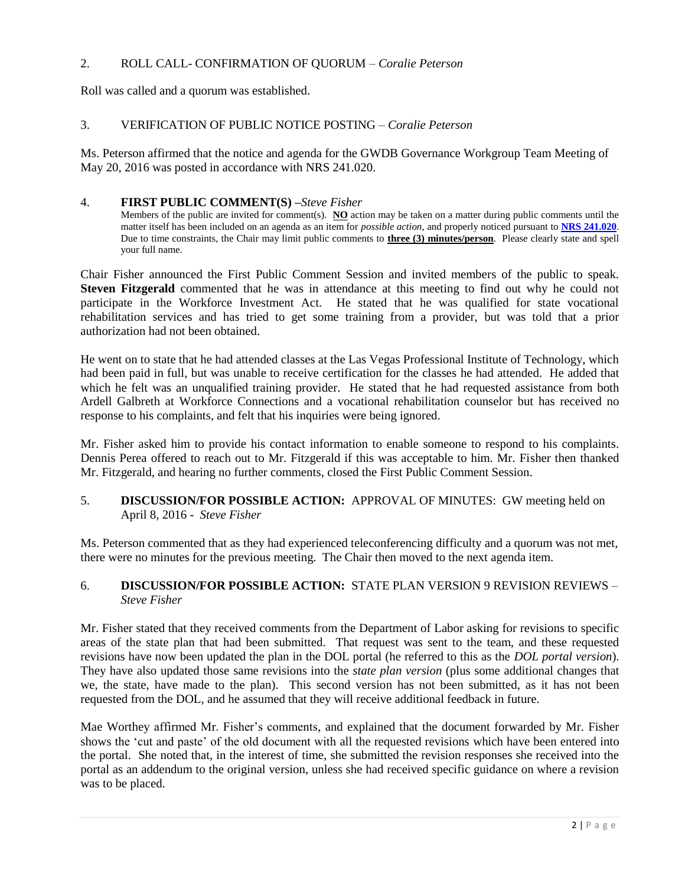#### 2. ROLL CALL- CONFIRMATION OF QUORUM – *Coralie Peterson*

Roll was called and a quorum was established.

#### 3. VERIFICATION OF PUBLIC NOTICE POSTING – *Coralie Peterson*

Ms. Peterson affirmed that the notice and agenda for the GWDB Governance Workgroup Team Meeting of May 20, 2016 was posted in accordance with NRS 241.020.

#### 4. **FIRST PUBLIC COMMENT(S) –***Steve Fisher*

Members of the public are invited for comment(s). **NO** action may be taken on a matter during public comments until the matter itself has been included on an agenda as an item for *possible action*, and properly noticed pursuant to **[NRS 241.020](http://www.leg.state.nv.us/NRS/NRS-241.html#NRS241Sec020)**. Due to time constraints, the Chair may limit public comments to **three (3) minutes/person**. Please clearly state and spell your full name.

Chair Fisher announced the First Public Comment Session and invited members of the public to speak. **Steven Fitzgerald** commented that he was in attendance at this meeting to find out why he could not participate in the Workforce Investment Act. He stated that he was qualified for state vocational rehabilitation services and has tried to get some training from a provider, but was told that a prior authorization had not been obtained.

He went on to state that he had attended classes at the Las Vegas Professional Institute of Technology, which had been paid in full, but was unable to receive certification for the classes he had attended. He added that which he felt was an unqualified training provider. He stated that he had requested assistance from both Ardell Galbreth at Workforce Connections and a vocational rehabilitation counselor but has received no response to his complaints, and felt that his inquiries were being ignored.

Mr. Fisher asked him to provide his contact information to enable someone to respond to his complaints. Dennis Perea offered to reach out to Mr. Fitzgerald if this was acceptable to him. Mr. Fisher then thanked Mr. Fitzgerald, and hearing no further comments, closed the First Public Comment Session.

#### 5. **DISCUSSION/FOR POSSIBLE ACTION:** APPROVAL OF MINUTES: GW meeting held on April 8, 2016 - *Steve Fisher*

Ms. Peterson commented that as they had experienced teleconferencing difficulty and a quorum was not met, there were no minutes for the previous meeting. The Chair then moved to the next agenda item.

#### 6. **DISCUSSION/FOR POSSIBLE ACTION:** STATE PLAN VERSION 9 REVISION REVIEWS – *Steve Fisher*

Mr. Fisher stated that they received comments from the Department of Labor asking for revisions to specific areas of the state plan that had been submitted. That request was sent to the team, and these requested revisions have now been updated the plan in the DOL portal (he referred to this as the *DOL portal version*). They have also updated those same revisions into the *state plan version* (plus some additional changes that we, the state, have made to the plan). This second version has not been submitted, as it has not been requested from the DOL, and he assumed that they will receive additional feedback in future.

Mae Worthey affirmed Mr. Fisher's comments, and explained that the document forwarded by Mr. Fisher shows the 'cut and paste' of the old document with all the requested revisions which have been entered into the portal. She noted that, in the interest of time, she submitted the revision responses she received into the portal as an addendum to the original version, unless she had received specific guidance on where a revision was to be placed.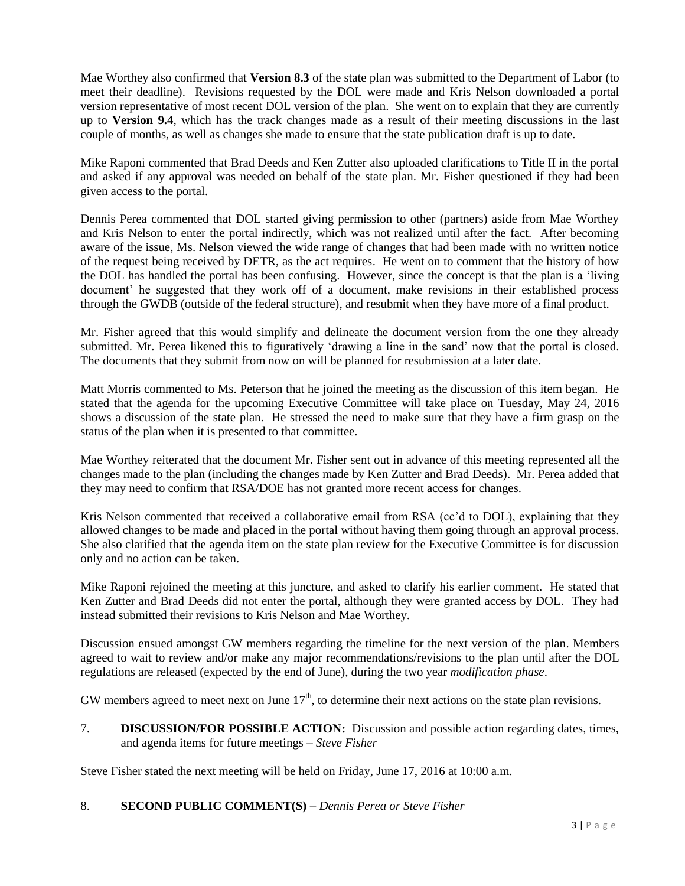Mae Worthey also confirmed that **Version 8.3** of the state plan was submitted to the Department of Labor (to meet their deadline). Revisions requested by the DOL were made and Kris Nelson downloaded a portal version representative of most recent DOL version of the plan. She went on to explain that they are currently up to **Version 9.4**, which has the track changes made as a result of their meeting discussions in the last couple of months, as well as changes she made to ensure that the state publication draft is up to date.

Mike Raponi commented that Brad Deeds and Ken Zutter also uploaded clarifications to Title II in the portal and asked if any approval was needed on behalf of the state plan. Mr. Fisher questioned if they had been given access to the portal.

Dennis Perea commented that DOL started giving permission to other (partners) aside from Mae Worthey and Kris Nelson to enter the portal indirectly, which was not realized until after the fact. After becoming aware of the issue, Ms. Nelson viewed the wide range of changes that had been made with no written notice of the request being received by DETR, as the act requires. He went on to comment that the history of how the DOL has handled the portal has been confusing. However, since the concept is that the plan is a 'living document' he suggested that they work off of a document, make revisions in their established process through the GWDB (outside of the federal structure), and resubmit when they have more of a final product.

Mr. Fisher agreed that this would simplify and delineate the document version from the one they already submitted. Mr. Perea likened this to figuratively 'drawing a line in the sand' now that the portal is closed. The documents that they submit from now on will be planned for resubmission at a later date.

Matt Morris commented to Ms. Peterson that he joined the meeting as the discussion of this item began. He stated that the agenda for the upcoming Executive Committee will take place on Tuesday, May 24, 2016 shows a discussion of the state plan. He stressed the need to make sure that they have a firm grasp on the status of the plan when it is presented to that committee.

Mae Worthey reiterated that the document Mr. Fisher sent out in advance of this meeting represented all the changes made to the plan (including the changes made by Ken Zutter and Brad Deeds). Mr. Perea added that they may need to confirm that RSA/DOE has not granted more recent access for changes.

Kris Nelson commented that received a collaborative email from RSA (cc'd to DOL), explaining that they allowed changes to be made and placed in the portal without having them going through an approval process. She also clarified that the agenda item on the state plan review for the Executive Committee is for discussion only and no action can be taken.

Mike Raponi rejoined the meeting at this juncture, and asked to clarify his earlier comment. He stated that Ken Zutter and Brad Deeds did not enter the portal, although they were granted access by DOL. They had instead submitted their revisions to Kris Nelson and Mae Worthey.

Discussion ensued amongst GW members regarding the timeline for the next version of the plan. Members agreed to wait to review and/or make any major recommendations/revisions to the plan until after the DOL regulations are released (expected by the end of June), during the two year *modification phase*.

GW members agreed to meet next on June  $17<sup>th</sup>$ , to determine their next actions on the state plan revisions.

7. **DISCUSSION/FOR POSSIBLE ACTION:** Discussion and possible action regarding dates, times, and agenda items for future meetings – *Steve Fisher*

Steve Fisher stated the next meeting will be held on Friday, June 17, 2016 at 10:00 a.m.

### 8. **SECOND PUBLIC COMMENT(S) –** *Dennis Perea or Steve Fisher*